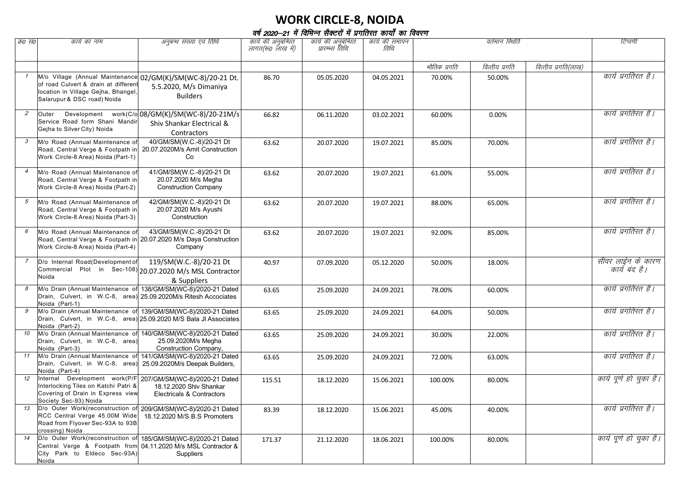## **WORK CIRCLE-8, NOIDA**

| वर्ष 2020–21 में विभिन्न सैक्टरों में प्रगतिरत कार्यों का विवरण |  |  |  |  |  |  |
|-----------------------------------------------------------------|--|--|--|--|--|--|
|-----------------------------------------------------------------|--|--|--|--|--|--|

| क्र0 स0        | कार्य का नाम                                                                                                                                       | अनुबन्ध संख्या एवं तिथि                                                                                                             | कार्य की अनुबन्धित | कार्य की अनुबन्धित | कार्य की समापन | वर्तमान स्थिति |                |                     | टिप्पणी                            |
|----------------|----------------------------------------------------------------------------------------------------------------------------------------------------|-------------------------------------------------------------------------------------------------------------------------------------|--------------------|--------------------|----------------|----------------|----------------|---------------------|------------------------------------|
|                |                                                                                                                                                    |                                                                                                                                     | लागत(रू० लाख में)  | प्रारम्भ्स तिथि    | तिथि           |                |                |                     |                                    |
|                |                                                                                                                                                    |                                                                                                                                     |                    |                    |                | भौतिक प्रगति   | वित्तीय प्रगति | वित्तीय प्रगति(लाख) |                                    |
| $\mathcal{I}$  | of road Culvert & drain at different<br>location in Village Gejha, Bhangel,<br>Salarupur & DSC road) Noida                                         | M/o Village (Annual Maintenance 02/GM(K)/SM(WC-8)/20-21 Dt.<br>5.5.2020, M/s Dimaniya<br><b>Builders</b>                            | 86.70              | 05.05.2020         | 04.05.2021     | 70.00%         | 50.00%         |                     | कार्य प्रगतिरत है।                 |
| $\overline{2}$ | Outer<br>Service Road form Shani Mandir<br>Gejha to Silver City) Noida                                                                             | Development work(C/o 08/GM(K)/SM(WC-8)/20-21M/s<br>Shiv Shankar Electrical &<br>Contractors                                         | 66.82              | 06.11.2020         | 03.02.2021     | 60.00%         | 0.00%          |                     | कार्य प्रगतिरत है।                 |
| 3              | M/o Road (Annual Maintenance of<br>Road, Central Verge & Footpath in<br>Work Circle-8 Area) Noida (Part-1)                                         | 40/GM/SM(W.C.-8)/20-21 Dt<br>20.07.2020M/s Amit Construction<br>Co                                                                  | 63.62              | 20.07.2020         | 19.07.2021     | 85.00%         | 70.00%         |                     | कार्य प्रगतिरत है।                 |
| $\overline{4}$ | M/o Road (Annual Maintenance of<br>Road, Central Verge & Footpath in<br>Work Circle-8 Area) Noida (Part-2)                                         | 41/GM/SM(W.C.-8)/20-21 Dt<br>20.07.2020 M/s Megha<br><b>Construction Company</b>                                                    | 63.62              | 20.07.2020         | 19.07.2021     | 61.00%         | 55.00%         |                     | कार्य प्रगतिरत है।                 |
| 5              | M/o Road (Annual Maintenance of<br>Road, Central Verge & Footpath in<br>Work Circle-8 Area) Noida (Part-3)                                         | 42/GM/SM(W.C.-8)/20-21 Dt<br>20.07.2020 M/s Ayushi<br>Construction                                                                  | 63.62              | 20.07.2020         | 19.07.2021     | 88.00%         | 65.00%         |                     | कार्य प्रगतिरत है।                 |
| 6              | M/o Road (Annual Maintenance of<br>Work Circle-8 Area) Noida (Part-4)                                                                              | 43/GM/SM(W.C.-8)/20-21 Dt<br>Road, Central Verge & Footpath in 20.07.2020 M/s Daya Construction<br>Company                          | 63.62              | 20.07.2020         | 19.07.2021     | 92.00%         | 85.00%         |                     | कार्य प्रगतिरत है।                 |
| $\overline{7}$ | D/o Internal Road(Development of<br>Noida                                                                                                          | 119/SM(W.C.-8)/20-21 Dt<br>Commercial Plot in Sec-108) $ 20.07.2020$ M/s MSL Contractor<br>& Suppliers                              | 40.97              | 07.09.2020         | 05.12.2020     | 50.00%         | 18.00%         |                     | सीवर लाईन के कारण<br>कार्य बंद है। |
| 8              | Drain, Culvert, in W.C-8, area) 25.09.2020M/s Ritesh Accociates<br>Noida (Part-1)                                                                  | M/o Drain (Annual Maintenance of 138/GM/SM(WC-8)/2020-21 Dated                                                                      | 63.65              | 25.09.2020         | 24.09.2021     | 78.00%         | 60.00%         |                     | कार्य प्रगतिरत है।                 |
|                | Noida (Part-2)                                                                                                                                     | M/o Drain (Annual Maintenance of 139/GM/SM(WC-8)/2020-21 Dated<br>Drain, Culvert, in W.C-8, area) 25.09.2020 M/S Bala JI Associates | 63.65              | 25.09.2020         | 24.09.2021     | 64.00%         | 50.00%         |                     | कार्य प्रगतिरत है।                 |
| 10             | Drain, Culvert, in W.C-8, area)<br>Noida (Part-3)                                                                                                  | M/o Drain (Annual Maintenance of 140/GM/SM(WC-8)/2020-21 Dated<br>25.09.2020M/s Megha<br>Construction Company,                      | 63.65              | 25.09.2020         | 24.09.2021     | 30.00%         | 22.00%         |                     | कार्य प्रगतिरत है।                 |
| 11             | M/o Drain (Annual Maintenance of 141/GM/SM(WC-8)/2020-21 Dated<br>Drain, Culvert, in W.C-8, area) 25.09.2020M/s Deepak Builders,<br>Noida (Part-4) |                                                                                                                                     | 63.65              | 25.09.2020         | 24.09.2021     | 72.00%         | 63.00%         |                     | कार्य प्रगतिरत है।                 |
| 12             | Interlocking Tiles on Katchi Patri &<br>Covering of Drain in Express view<br>Society Sec-93) Noida                                                 | Internal Development work(P/F 207/GM/SM(WC-8)/2020-21 Dated<br>18.12.2020 Shiv Shankar<br>Electricals & Contractors                 | 115.51             | 18.12.2020         | 15.06.2021     | 100.00%        | 80.00%         |                     | कार्य पूर्ण हो चुका है।            |
| 13             | RCC Central Verge 45.00M Wide<br>Road from Flyover Sec-93A to 93B<br>crossing) Noida                                                               | D/o Outer Work(reconstruction of 209/GM/SM(WC-8)/2020-21 Dated<br>18.12.2020 M/S B.S Promoters                                      | 83.39              | 18.12.2020         | 15.06.2021     | 45.00%         | 40.00%         |                     | कार्य प्रगतिरत है।                 |
| 14             | D/o Outer Work(reconstruction of 185/GM/SM(WC-8)/2020-21 Dated<br>City Park to Eldeco Sec-93A)<br>Noida                                            | Central Verge & Footpath from 04.11.2020 M/s MSL Contractor &<br>Suppliers                                                          | 171.37             | 21.12.2020         | 18.06.2021     | 100.00%        | 80.00%         |                     | कार्य पूर्ण हो चुका है।            |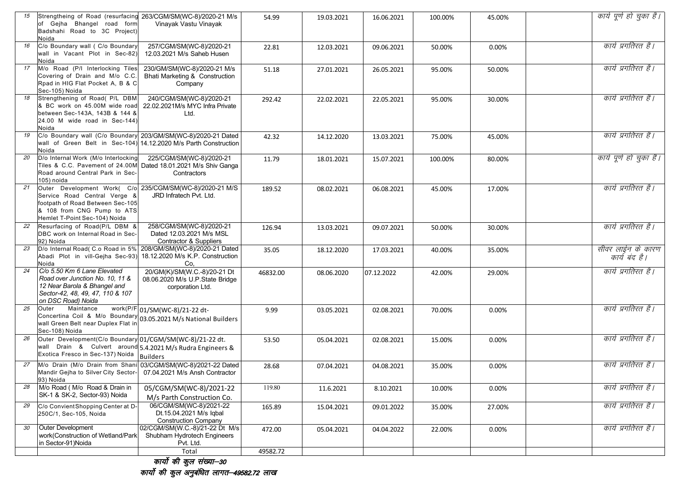| 15 | Strengtheing of Road (resurfacing 263/CGM/SM(WC-8)/2020-21 M/s<br>of Gejha Bhangel road form<br>Badshahi Road to 3C Project)<br>Noida                                                       | Vinayak Vastu Vinayak                                                               | 54.99    | 19.03.2021 | 16.06.2021 | 100.00% | 45.00% | कार्य पूर्ण हो चुका है।            |
|----|---------------------------------------------------------------------------------------------------------------------------------------------------------------------------------------------|-------------------------------------------------------------------------------------|----------|------------|------------|---------|--------|------------------------------------|
| 16 | C/o Boundary wall ( C/o Boundary<br>wall in Vacant Plot in Sec-82)<br>Noida                                                                                                                 | 257/CGM/SM(WC-8)/2020-21<br>12.03.2021 M/s Saheb Husen                              | 22.81    | 12.03.2021 | 09.06.2021 | 50.00%  | 0.00%  | कार्य प्रगतिरत है।                 |
| 17 | M/o Road (P/I Interlocking Tiles<br>Covering of Drain and M/o C.C.<br>Rpad in HIG Flat Pocket A, B & C<br>Sec-105) Noida                                                                    | 230/GM/SM(WC-8)/2020-21 M/s<br>Bhati Marketing & Construction<br>Company            | 51.18    | 27.01.2021 | 26.05.2021 | 95.00%  | 50.00% | कार्य प्रगतिरत है।                 |
| 18 | Strengthening of Road( P/L DBM<br>& BC work on 45.00M wide road<br>between Sec-143A. 143B & 144 &<br>$[24.00 \ M \text{ wide road in Sec-144}]$<br>Noida                                    | 240/CGM/SM(WC-8)/2020-21<br>22.02.2021M/s MYC Infra Private<br>Ltd.                 | 292.42   | 22.02.2021 | 22.05.2021 | 95.00%  | 30.00% | कार्य प्रगतिरत है।                 |
| 19 | C/o Boundary wall (C/o Boundary 203/GM/SM(WC-8)/2020-21 Dated<br>Noida                                                                                                                      | wall of Green Belt in Sec-104) 14.12.2020 M/s Parth Construction                    | 42.32    | 14.12.2020 | 13.03.2021 | 75.00%  | 45.00% | कार्य प्रगतिरत है।                 |
| 20 | D/o Internal Work (M/o Interlocking<br>Tiles & C.C. Pavement of 24.00M Dated 18.01.2021 M/s Shiv Ganga<br>Road around Central Park in Sec-<br>105) noida                                    | 225/CGM/SM(WC-8)/2020-21<br>Contractors                                             | 11.79    | 18.01.2021 | 15.07.2021 | 100.00% | 80.00% | कार्य पूर्ण हो चुका है।            |
| 21 | Outer Development Work( C/o 235/CGM/SM(WC-8)/2020-21 M/S<br>Service Road Central Verge &<br>footpath of Road Between Sec-105<br>& 108 from CNG Pump to ATS<br>Hemlet T-Point Sec-104) Noida | JRD Infratech Pvt. Ltd.                                                             | 189.52   | 08.02.2021 | 06.08.2021 | 45.00%  | 17.00% | कार्य प्रगतिरत है।                 |
| 22 | Resurfacing of Road(P/L DBM &<br>DBC work on Internal Road in Sec-<br>92) Noida                                                                                                             | 258/CGM/SM(WC-8)/2020-21<br>Dated 12.03.2021 M/s MSL<br>Contractor & Suppliers      | 126.94   | 13.03.2021 | 09.07.2021 | 50.00%  | 30.00% | कार्य प्रगतिरत है।                 |
| 23 | D/o Internal Road( C.o Road in 5% 208/GM/SM(WC-8)/2020-21 Dated<br>Abadi Plot in vill-Gejha Sec-93)<br>Noida                                                                                | 18.12.2020 M/s K.P. Construction<br>Co.                                             | 35.05    | 18.12.2020 | 17.03.2021 | 40.00%  | 35.00% | सीवर लाईन के कारण<br>कार्य बंद है। |
| 24 | C/o 5.50 Km 6 Lane Elevated<br>Road over Junction No. 10, 11 &<br>12 Near Barola & Bhangel and<br>Sector-42, 48, 49, 47, 110 & 107<br>on DSC Road) Noida                                    | 20/GM(K)/SM(W.C.-8)/20-21 Dt<br>08.06.2020 M/s U.P.State Bridge<br>corporation Ltd. | 46832.00 | 08.06.2020 | 07.12.2022 | 42.00%  | 29.00% | कार्य प्रगतिरत है।                 |
| 25 | Maintance<br>Outer<br>Concertina Coil & M/o Boundary 03.05.2021 M/s National Builders<br>wall Green Belt near Duplex Flat in<br>Sec-108) Noida                                              | work(P/F 01/SM(WC-8)/21-22 dt-                                                      | 9.99     | 03.05.2021 | 02.08.2021 | 70.00%  | 0.00%  | कार्य प्रगतिरत है।                 |
| 26 | Outer Development(C/o Boundary 01/CGM/SM(WC-8)/21-22 dt.<br>wall Drain & Culvert around 5.4.2021 M/s Rudra Engineers &<br>Exotica Fresco in Sec-137) Noida Builders                         |                                                                                     | 53.50    | 05.04.2021 | 02.08.2021 | 15.00%  | 0.00%  | कार्य प्रगतिरत है।                 |
| 27 | M/o Drain (M/o Drain from Shani 03/CGM/SM(WC-8)/2021-22 Dated<br>Mandir Gejha to Silver City Sector-<br>93) Noida                                                                           | 07.04.2021 M/s Ansh Contractor                                                      | 28.68    | 07.04.2021 | 04.08.2021 | 35.00%  | 0.00%  | कार्य प्रगतिरत है।                 |
| 28 | M/o Road (M/o Road & Drain in<br>SK-1 & SK-2, Sector-93) Noida                                                                                                                              | 05/CGM/SM(WC-8)/2021-22<br>M/s Parth Construction Co.                               | 119.80   | 11.6.2021  | 8.10.2021  | 10.00%  | 0.00%  | काय प्रगातरत है।                   |
| 29 | C/o Convient Shopping Center at D-<br>250C/1, Sec-105, Noida                                                                                                                                | 06/CGM/SM(WC-8)/2021-22<br>Dt.15.04.2021 M/s Iqbal<br><b>Construction Company</b>   | 165.89   | 15.04.2021 | 09.01.2022 | 35.00%  | 27.00% | कार्य प्रगतिरत है।                 |
| 30 | <b>Outer Development</b><br>work(Construction of Wetland/Park<br>in Sector-91)Noida                                                                                                         | 02/CGM/SM(W.C.-8)/21-22 Dt M/s<br>Shubham Hydrotech Engineers<br>Pvt. Ltd.          | 472.00   | 05.04.2021 | 04.04.2022 | 22.00%  | 0.00%  | कार्य प्रगतिरत है।                 |
|    |                                                                                                                                                                                             | Total                                                                               | 49582.72 |            |            |         |        |                                    |